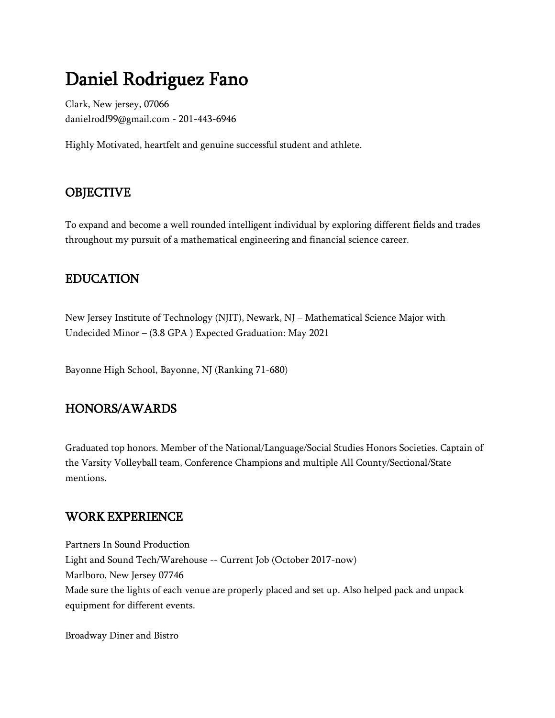# Daniel Rodriguez Fano

Clark, New jersey, 07066 danielrodf99@gmail.com - 201-443-6946

Highly Motivated, heartfelt and genuine successful student and athlete.

### **OBJECTIVE**

To expand and become a well rounded intelligent individual by exploring different fields and trades throughout my pursuit of a mathematical engineering and financial science career.

#### EDUCATION

New Jersey Institute of Technology (NJIT), Newark, NJ – Mathematical Science Major with Undecided Minor – (3.8 GPA ) Expected Graduation: May 2021

Bayonne High School, Bayonne, NJ (Ranking 71-680)

#### HONORS/AWARDS

Graduated top honors. Member of the National/Language/Social Studies Honors Societies. Captain of the Varsity Volleyball team, Conference Champions and multiple All County/Sectional/State mentions.

#### WORK EXPERIENCE

Partners In Sound Production Light and Sound Tech/Warehouse -- Current Job (October 2017-now) Marlboro, New Jersey 07746 Made sure the lights of each venue are properly placed and set up. Also helped pack and unpack equipment for different events.

Broadway Diner and Bistro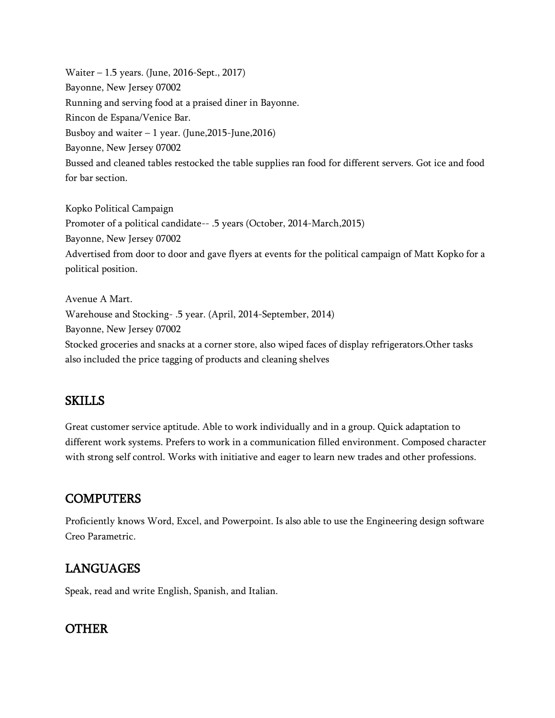Waiter – 1.5 years. (June, 2016-Sept., 2017) Bayonne, New Jersey 07002 Running and serving food at a praised diner in Bayonne. Rincon de Espana/Venice Bar. Busboy and waiter  $-1$  year. (June, 2015-June, 2016) Bayonne, New Jersey 07002 Bussed and cleaned tables restocked the table supplies ran food for different servers. Got ice and food for bar section.

Kopko Political Campaign Promoter of a political candidate-- .5 years (October, 2014-March,2015) Bayonne, New Jersey 07002 Advertised from door to door and gave flyers at events for the political campaign of Matt Kopko for a political position.

Avenue A Mart. Warehouse and Stocking- .5 year. (April, 2014-September, 2014) Bayonne, New Jersey 07002 Stocked groceries and snacks at a corner store, also wiped faces of display refrigerators.Other tasks also included the price tagging of products and cleaning shelves

#### SKILLS

Great customer service aptitude. Able to work individually and in a group. Quick adaptation to different work systems. Prefers to work in a communication filled environment. Composed character with strong self control. Works with initiative and eager to learn new trades and other professions.

#### **COMPUTERS**

Proficiently knows Word, Excel, and Powerpoint. Is also able to use the Engineering design software Creo Parametric.

## LANGUAGES

Speak, read and write English, Spanish, and Italian.

#### **OTHER**